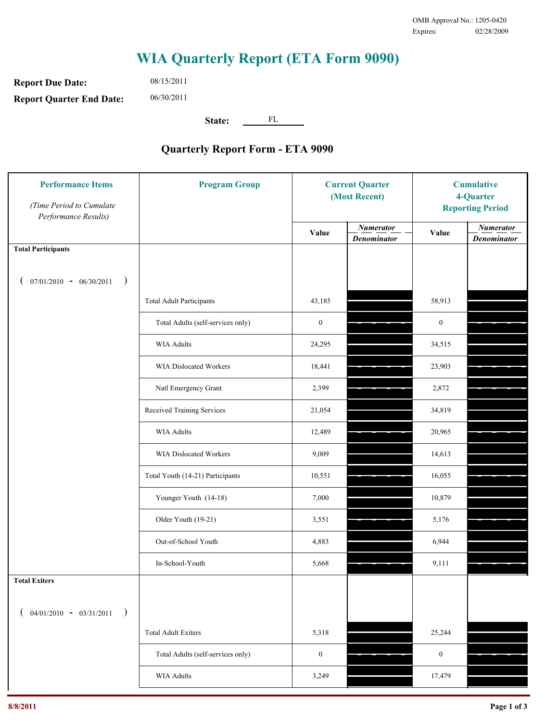## **WIA Quarterly Report (ETA Form 9090)**

**Report Due Date: Report Quarter End Date:** 08/15/2011 06/30/2011

**State:** FL

## **Quarterly Report Form - ETA 9090**

| <b>Performance Items</b><br>(Time Period to Cumulate<br>Performance Results) | <b>Program Group</b>              | <b>Current Quarter</b><br>(Most Recent) |                                        | <b>Cumulative</b><br>4-Quarter<br><b>Reporting Period</b> |                                        |
|------------------------------------------------------------------------------|-----------------------------------|-----------------------------------------|----------------------------------------|-----------------------------------------------------------|----------------------------------------|
|                                                                              |                                   | Value                                   | <b>Numerator</b><br><b>Denominator</b> | Value                                                     | <b>Numerator</b><br><b>Denominator</b> |
| <b>Total Participants</b>                                                    |                                   |                                         |                                        |                                                           |                                        |
| $07/01/2010 - 06/30/2011$ )                                                  |                                   |                                         |                                        |                                                           |                                        |
|                                                                              | <b>Total Adult Participants</b>   | 43,185                                  |                                        | 58,913                                                    |                                        |
|                                                                              | Total Adults (self-services only) | $\boldsymbol{0}$                        |                                        | $\boldsymbol{0}$                                          |                                        |
|                                                                              | WIA Adults                        | 24,295                                  |                                        | 34,515                                                    |                                        |
|                                                                              | WIA Dislocated Workers            | 18,441                                  |                                        | 23,903                                                    |                                        |
|                                                                              | Natl Emergency Grant              | 2,399                                   |                                        | 2,872                                                     |                                        |
|                                                                              | Received Training Services        | 21,054                                  |                                        | 34,819                                                    |                                        |
|                                                                              | WIA Adults                        | 12,489                                  |                                        | 20,965                                                    |                                        |
|                                                                              | WIA Dislocated Workers            | 9,009                                   |                                        | 14,613                                                    |                                        |
|                                                                              | Total Youth (14-21) Participants  | 10,551                                  |                                        | 16,055                                                    |                                        |
|                                                                              | Younger Youth (14-18)             | 7,000                                   |                                        | 10,879                                                    |                                        |
|                                                                              | Older Youth (19-21)               | 3,551                                   |                                        | 5,176                                                     |                                        |
|                                                                              | Out-of-School Youth               | 4,883                                   |                                        | 6,944                                                     |                                        |
|                                                                              | In-School-Youth                   | 5,668                                   |                                        | 9,111                                                     |                                        |
| <b>Total Exiters</b>                                                         |                                   |                                         |                                        |                                                           |                                        |
| $04/01/2010 - 03/31/2011$<br>$\rightarrow$                                   |                                   |                                         |                                        |                                                           |                                        |
|                                                                              | <b>Total Adult Exiters</b>        | 5,318                                   |                                        | 25,244                                                    |                                        |
|                                                                              | Total Adults (self-services only) | $\boldsymbol{0}$                        |                                        | $\boldsymbol{0}$                                          |                                        |
|                                                                              | <b>WIA Adults</b>                 | 3,249                                   |                                        | 17,479                                                    |                                        |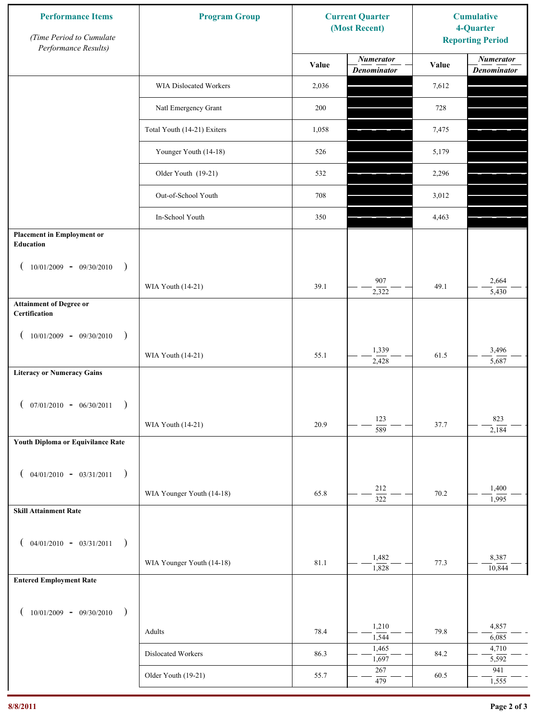| <b>Performance Items</b><br>(Time Period to Cumulate<br>Performance Results) | <b>Program Group</b>          | <b>Current Quarter</b><br>(Most Recent) |                                        | <b>Cumulative</b><br>4-Quarter<br><b>Reporting Period</b> |                                        |
|------------------------------------------------------------------------------|-------------------------------|-----------------------------------------|----------------------------------------|-----------------------------------------------------------|----------------------------------------|
|                                                                              |                               | Value                                   | <b>Numerator</b><br><b>Denominator</b> | Value                                                     | <b>Numerator</b><br><b>Denominator</b> |
|                                                                              | <b>WIA Dislocated Workers</b> | 2,036                                   |                                        | 7,612                                                     |                                        |
|                                                                              | Natl Emergency Grant          | 200                                     |                                        | 728                                                       |                                        |
|                                                                              | Total Youth (14-21) Exiters   | 1,058                                   |                                        | 7,475                                                     |                                        |
|                                                                              | Younger Youth (14-18)         | 526                                     |                                        | 5,179                                                     |                                        |
|                                                                              | Older Youth (19-21)           | 532                                     |                                        | 2,296                                                     |                                        |
|                                                                              | Out-of-School Youth           | 708                                     |                                        | 3,012                                                     |                                        |
|                                                                              | In-School Youth               | 350                                     |                                        | 4,463                                                     |                                        |
| <b>Placement in Employment or</b><br>Education                               |                               |                                         |                                        |                                                           |                                        |
| $10/01/2009 - 09/30/2010$<br>$\rightarrow$                                   |                               |                                         |                                        |                                                           |                                        |
|                                                                              | WIA Youth (14-21)             | 39.1                                    | 907<br>2,322                           | 49.1                                                      | 2,664<br>5,430                         |
| <b>Attainment of Degree or</b><br>Certification                              |                               |                                         |                                        |                                                           |                                        |
| $10/01/2009 - 09/30/2010$<br>$\rightarrow$                                   |                               |                                         |                                        |                                                           |                                        |
|                                                                              | WIA Youth (14-21)             | 55.1                                    | 1,339<br>2,428                         | 61.5                                                      | 3,496<br>5,687                         |
| <b>Literacy or Numeracy Gains</b>                                            |                               |                                         |                                        |                                                           |                                        |
| $07/01/2010$ - $06/30/2011$<br>$\rightarrow$                                 |                               |                                         |                                        |                                                           |                                        |
|                                                                              | WIA Youth (14-21)             | 20.9                                    | 123<br>589                             | 37.7                                                      | 823<br>2,184                           |
| Youth Diploma or Equivilance Rate                                            |                               |                                         |                                        |                                                           |                                        |
| $04/01/2010 - 03/31/2011$<br>$\rightarrow$                                   |                               |                                         |                                        |                                                           |                                        |
|                                                                              | WIA Younger Youth (14-18)     | 65.8                                    | 212                                    | 70.2                                                      | 1,400                                  |
| <b>Skill Attainment Rate</b>                                                 |                               |                                         | $\overline{322}$                       |                                                           | $\frac{1}{995}$                        |
|                                                                              |                               |                                         |                                        |                                                           |                                        |
| $04/01/2010 - 03/31/2011$<br>$\rightarrow$                                   |                               |                                         | 1,482                                  |                                                           | 8,387                                  |
| <b>Entered Employment Rate</b>                                               | WIA Younger Youth (14-18)     | 81.1                                    | 1,828                                  | 77.3                                                      | 10,844                                 |
|                                                                              |                               |                                         |                                        |                                                           |                                        |
| $10/01/2009 - 09/30/2010$<br>$\rightarrow$                                   |                               |                                         |                                        |                                                           |                                        |
|                                                                              | Adults                        | 78.4                                    | 1,210<br>1,544                         | 79.8                                                      | 4,857<br>6,085                         |
|                                                                              | Dislocated Workers            | 86.3                                    | 1,465<br>1,697                         | 84.2                                                      | 4,710<br>5,592                         |
|                                                                              | Older Youth (19-21)           | 55.7                                    | 267<br>479                             | 60.5                                                      | 941<br>1,555                           |